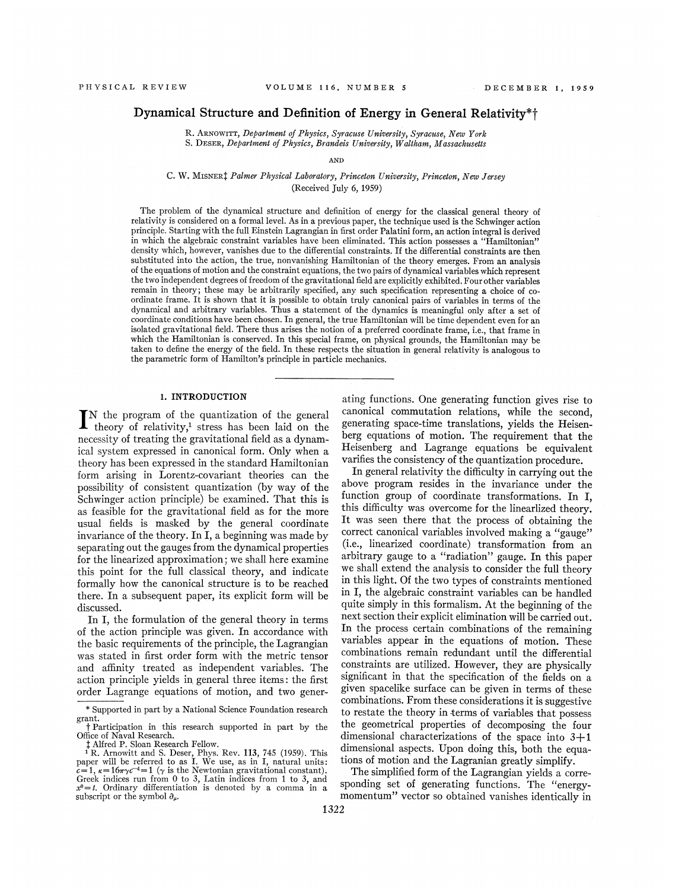## Dynamical Structure and Definition of Energy in General Relativity\*f

R. ARNowiTT, Department of Physics, Syracuse University, Syracuse, New York S. DESER, Department of Physics, Brandeis University, Waltham, Massachusetts

AND

C. W. MISNER<sup>†</sup> Palmer Physical Laboratory, Princeton University, Princeton, New Jersey (Received July 6, 1959)

The problem of the dynamical structure and definition of energy for the classical general theory of relativity is considered on a formal level. As in a previous paper, the technique used is the Schwinger action principle, Starting with the full Einstein Lagrangian in first order Palatini form, an action integral is derived in which the algebraic constraint variables have been eliminated. This action possesses a "Hamiltonian" density which, however, vanishes due to the differential constraints. If the differential constraints are then substituted into the action, the true, nonvanishing Hamiltonian of the theory emerges. From an analysis of the equations of motion and the constraint equations, the two pairs of dynamical variables which represent the two independent degrees of freedom of the gravitational field are explicitly exhibited. Four other variables remain in theory; these may be arbitrarily specified, any such specification representing a choice of coordinate frame. It is shown that it is possible to obtain truly canonical pairs of variables in terms of the dynamical and arbitrary variables. Thus a statement of the dynamics is meaningful only after a set of coordinate conditions have been chosen. In general, the true Hamiltonian will be time dependent even for an isolated gravitational field. There thus arises the notion of a preferred coordinate frame, i.e., that frame in which the Hamiltonian is conserved. In this special frame, on physical grounds, the Hamiltonian may be taken to define the energy of the field. In these respects the situation in general relativity is analogous to the parametric form of Hamilton's principle in particle mechanics.

## l. INTRODUCTION

IN the program of the quantization of the general  $\Gamma$  theory of relativity,<sup>1</sup> theory of relativity,<sup>1</sup> stress has been laid on the necessity of treating the gravitational field as a dynamical system expressed in canonical form. Only when a theory has been expressed in the standard Hamiltonian form arising in Lorentz-covariant theories can the possibility of consistent quantization (by way of the Schwinger action principle) be examined. That this is as feasible for the gravitational field as for the more usual fields is masked by the general coordinate invariance of the theory. In I, a beginning was made by separating out the gauges from the dynamical properties for the linearized approximation; we shall here examine this point for the full classical theory, and indicate formally how the canonical structure is to be reached there. In a subsequent paper, its explicit form will be discussed.

In I, the formulation of the general theory in terms of the action principle was given. In accordance with the basic requirements of the principle, the Lagrangian was stated in first order form with the metric tensor and affinity treated as independent variables. The action principle yields in general three items: the first order Lagrange equations of motion, and two generating functions. One generating function gives rise to canonical commutation relations, while the second, generating space-time translations, yields the Heisenberg equations of motion. The requirement that the Heisenberg and Lagrange equations be equivalent varifies the consistency of the quantization procedure.

In general relativity the difficulty in carrying out the above program resides in the invariance under the function group of coordinate transformations. In I, this difficulty was overcome for the linearlized theory. It was seen there that the process of obtaining the correct canonical variables involved making a "gauge" (i.e., linearized coordinate) transformation from an arbitrary gauge to a "radiation" gauge. In this paper we shall extend the analysis to consider the full theory in this light. Of the two types of constraints mentioned in I, the algebraic constraint variables can be handled quite simply in this formalism. At the beginning of the next section their explicit elimination will be carried out. In the process certain combinations of the remaining variables appear in the equations of motion. These combinations remain redundant until the differential constraints are utilized. However, they are physically significant in that the specification of the fields on a given spacelike surface can be given in terms of these combinations. From these considerations it is suggestive to restate the theory in.terms of variables that possess the geometrical properties of decomposing the four dimensional characterizations of the space into 3+1 dimensional aspects. Upon doing this, both the equations of motion and the Lagranian greatly simplify.

The simplified form of the Lagrangian yields a corresponding set of generating functions. The "energymomentum" vector so obtained vanishes identically in

<sup>\*</sup> Supported in part by a National Science Foundation research grant.

t Participation in this research supported in part by the Office of Naval Research.

<sup>&</sup>lt;sup>1</sup> Alfred P. Sloan Research Fellow.<br><sup>1</sup> R. Arnowitt and S. Deser, Phys. Rev. 113, 745 (1959). This paper will be referred to as I. We use, as in I, natural units  $c=1$ ,  $\kappa=16\pi\gamma c^{-4}=1$  ( $\gamma$  is the Newtonian gravitatio Greek indices run from 0 to 3, Latin indices from 1 to 3, and  $x^0 = t$ . Ordinary differentiation is denoted by a comma in a subscript or the symbol  $\partial_{\mu}$ ,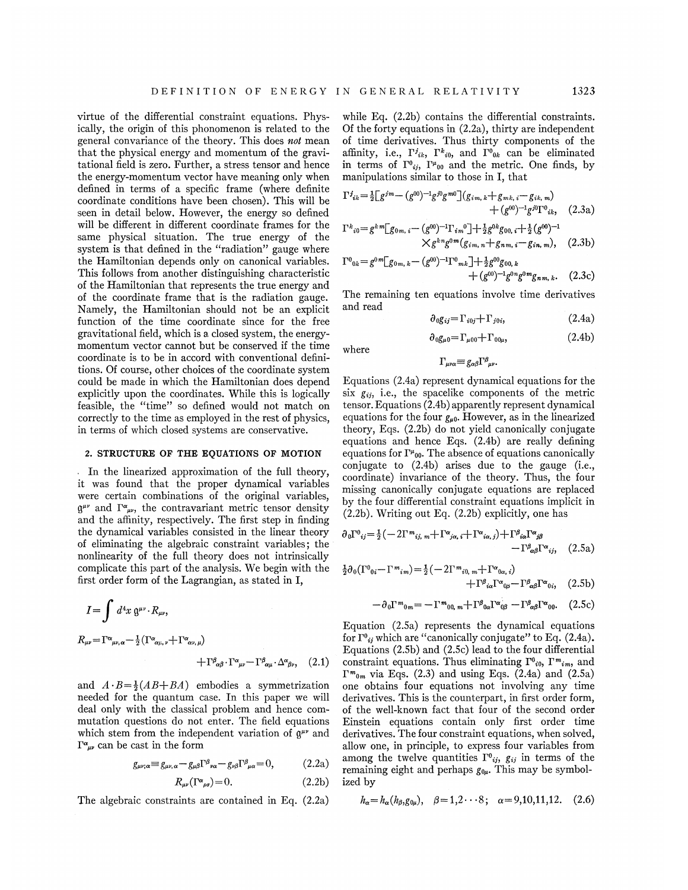virtue of the differential constraint equations. Physically, the origin of this phonomenon is related to the general convariance of the theory. This does not mean that the physical energy and momentum of the gravitational field is zero. Further, a stress tensor and hence the energy-momentum vector have meaning only when defined in terms of a specific frame (where definite coordinate conditions have been chosen). This will be seen in detail below. However, the energy so defined will be different in different coordinate frames for the same physical situation. The true energy of the system is that defined in the "radiation" gauge where the Hamiltonian depends only on canonical variables. This follows from another distinguishing characteristic of the Hamiltonian that represents the true energy and of the coordinate frame that is the radiation gauge. Namely, the Hamiltonian should not be an explicit function of the time coordinate since for the free gravitational field, which is a closed system, the energymomentum vector cannot but be conserved if the time coordinate is to be in accord with conventional definitions. Of course, other choices of the coordinate system could be made in which the Hamiltonian does depend explicitly upon the coordinates. While this is logically feasible, the "time" so defined would not match on correctly to the time as employed in the rest of physics, in terms of which closed systems are conservative.

#### 2. STRUCTURE OF THE EQUATIONS OF MOTION

In the linearized approximation of the full theory, it was found that the proper dynamical variables were certain combinations of the original variables,  $\mathfrak{g}^{\mu\nu}$  and  $\Gamma^{\alpha}{}_{\mu\nu}$ , the contravariant metric tensor density and the affinity, respectively. The first step in finding the dynamical variables consisted in the linear theory of eliminating the algebraic constraint variables; the nonlinearity of the full theory does not intrinsically complicate this part of the analysis. We begin with the first order form of the Lagrangian, as stated in I,

$$
I = \int d^4x \, \mathfrak{g}^{\mu\nu} \cdot R_{\mu\nu},
$$
  
\n
$$
R_{\mu\nu} = \Gamma^{\alpha}{}_{\mu\nu,\alpha} - \frac{1}{2} (\Gamma^{\alpha}{}_{\alpha\mu,\nu} + \Gamma^{\alpha}{}_{\alpha\nu,\mu})
$$
  
\n
$$
+ \Gamma^{\beta}{}_{\alpha\beta} \cdot \Gamma^{\alpha}{}_{\mu\nu} - \Gamma^{\beta}{}_{\alpha\mu} \cdot \Delta^{\alpha}{}_{\beta\nu}, \quad (2.1)
$$
  
\n
$$
\Gamma^{\beta}{}_{\alpha\beta} \cdot \Gamma^{\alpha}{}_{\mu\nu} - \Gamma^{\beta}{}_{\alpha\mu} \cdot \Delta^{\alpha}{}_{\beta\nu}, \quad (2.2)
$$

and  $A \cdot B = \frac{1}{2}(AB+BA)$  embodies a symmetrization needed for the quantum case. In this paper we will deal only with the classical problem and hence commutation questions do not enter. The field equations which stem from the independent variation of  $g^{\mu\nu}$  and  $\Gamma^{\alpha}{}_{\mu\nu}$  can be cast in the form

$$
g_{\mu\nu;\alpha} \equiv g_{\mu\nu,\alpha} - g_{\mu\beta} \Gamma^{\beta}{}_{\nu\alpha} - g_{\nu\beta} \Gamma^{\beta}{}_{\mu\alpha} = 0, \tag{2.2a}
$$

$$
R_{\mu\nu}(\Gamma^{\alpha}{}_{\rho\sigma}) = 0. \tag{2.2b}
$$

The algebraic constraints are contained in Eq. (2.2a)

while Eq. (2.2b) contains the differential constraints. Of the forty equations in (2.2a), thirty are independent of time derivatives. Thus thirty components of the affinity, i.e.,  $\Gamma^j_{ik}$ ,  $\Gamma^k_{i0}$ , and  $\Gamma^0_{0k}$  can be eliminated in terms of  $\Gamma^0_{ij}$ ,  $\Gamma^{\mu}{}_{00}$  and the metric. One finds, by manipulations similar to those in I, that

$$
\Gamma^{j}{}_{ik} = \frac{1}{2} \Big[ g^{jm} - (g^{00})^{-1} g^{j0} g^{m0} \Big] (g_{im, k} + g_{mk, i} - g_{ik, m}) + (g^{00})^{-1} g^{j0} \Gamma^{0}{}_{ik}, \quad (2.3a)
$$

$$
\Gamma^{k}{}_{i0} = g^{k}{}^{m} \left[ g_{0m, i} - (g^{00})^{-1} \Gamma_{i m}{}^{0} \right] + \frac{1}{2} g^{0k} g_{00, i} + \frac{1}{2} (g^{00})^{-1}
$$
\n
$$
\times g^{k}{}^{n} g^{0m} (g_{i m, n} + g_{n m, i} - g_{i n, m}), \quad (2.3b)
$$

$$
\Gamma^{0}{}_{0k} = g^{0}{}^{m} \Big[ g_{0m,\,k} - (g^{00})^{-1} \Gamma^{0}{}_{mk} \Big] + \frac{1}{2} g^{00} g_{00,\,k} + (g^{00})^{-1} g^{0}{}^{m} g_{n,m,\,k}.
$$
 (2.3c)

The remaining ten equations involve time derivatives and read

$$
\partial_0 g_{ij} = \Gamma_{i0j} + \Gamma_{j0i}, \qquad (2.4a)
$$

$$
\partial_{0}g_{\mu0} = \Gamma_{\mu00} + \Gamma_{00\mu}, \qquad (2.4b)
$$

where

$$
\Gamma_{\mu\nu\alpha} = g_{\alpha\beta} \Gamma^{\rho}_{\mu\nu}.
$$

Equations (2.4a) represent dynamical equations for the  $six$   $g_{ij}$ , i.e., the spacelike components of the metric tensor. Equations (2.4b) apparently represent dynamical equations for the four  $g_{\mu 0}$ . However, as in the linearized theory, Eqs. (2.2b) do not yield canonically conjugate equations and hence Eqs. (2.4b) are really defining equations for  $\Gamma^{\mu}{}_{00}$ . The absence of equations canonically conjugate to (2.4b) arises due to the gauge (i.e., coordinate) invariance of the theory. Thus, the four missing canonically conjugate equations are replaced by the four differential constraint equations implicit in (2.2b). Writing out Eq. (2.2b) explicitly, one has

$$
\partial_0 \Gamma^0_{ij} = \frac{1}{2} \left( -2\Gamma^m_{ij, m} + \Gamma^{\alpha}_{j\alpha, i} + \Gamma^{\alpha}_{i\alpha, j} \right) + \Gamma^{\beta}_{i\alpha} \Gamma^{\alpha}_{j\beta} - \Gamma^{\beta}_{\alpha\beta} \Gamma^{\alpha}_{ij}, \quad (2.5a)
$$

$$
\frac{1}{2}\partial_0(\Gamma^0_{0i}-\Gamma^m_{im})=\frac{1}{2}(-2\Gamma^m_{i0,m}+\Gamma^{\alpha_{0\alpha,i}}) + \Gamma^{\beta}_{i\alpha}\Gamma^{\alpha_{0\beta}}-\Gamma^{\beta}_{\alpha\beta}\Gamma^{\alpha_{0i}}, \quad (2.5b)
$$

$$
-\partial_0 \Gamma^m_{0m} = -\Gamma^m_{00m} + \Gamma^{\beta}_{0\alpha} \Gamma^{\alpha}_{0\beta} - \Gamma^{\beta}_{\alpha\beta} \Gamma^{\alpha}_{00}. \quad (2.5c)
$$

Equation (2.5a) represents the dynamical equations for  $\Gamma^0_{ij}$  which are "canonically conjugate" to Eq. (2.4a). Equations (2.5b) and (2.5c) lead to the four differential constraint equations. Thus eliminating  $\Gamma^0{}_{i0}$ ,  $\Gamma^m{}_{im}$ , and  $\Gamma^{m}$ <sub>0m</sub> via Eqs. (2.3) and using Eqs. (2.4a) and (2.5a) one obtains four equations not involving any time derivatives. This is the counterpart, in first order form, of the well-known fact that four of the second order Einstein equations contain only first order time derivatives. The four constraint equations, when solved, allow one, in principle, to express four variables from among the twelve quantities  $\Gamma^0{}_{ij}$ ,  $g_{ij}$  in terms of the remaining eight and perhaps  $g_{0\mu}$ . This may be symbolized by

$$
h_{\alpha} = h_{\alpha}(h_{\beta}, g_{0\mu}), \quad \beta = 1, 2 \cdots 8; \quad \alpha = 9, 10, 11, 12. \quad (2.6)
$$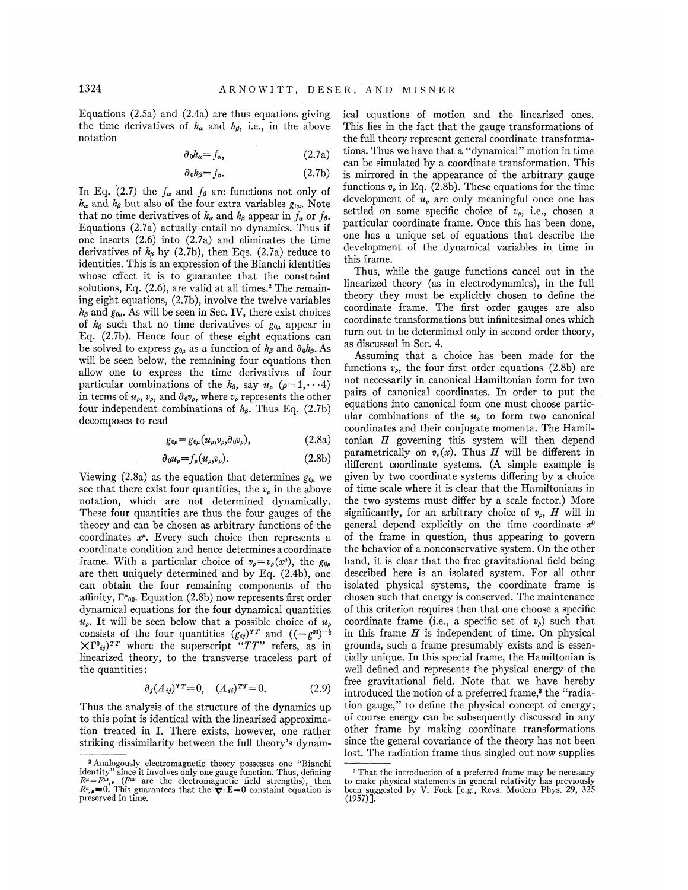Equations (2.5a) and (2.4a) are thus equations giving the time derivatives of  $h_{\alpha}$  and  $h_{\beta}$ , i.e., in the above notation

$$
\partial_0 h_\alpha = f_\alpha, \tag{2.7a}
$$

$$
\partial_0 h_\beta = f_\beta. \tag{2.7b}
$$

In Eq. (2.7) the  $f_{\alpha}$  and  $f_{\beta}$  are functions not only of  $h_{\alpha}$  and  $h_{\beta}$  but also of the four extra variables  $g_{0\mu}$ . Note that no time derivatives of  $h_{\alpha}$  and  $h_{\beta}$  appear in  $f_{\alpha}$  or  $f_{\beta}$ . Equations (2.7a) actually entail no dynamics. Thus if one inserts (2.6) into (2.7a) and eliminates the time derivatives of  $h_6$  by (2.7b), then Eqs. (2.7a) reduce to identities. This is an expression of the Bianchi identities whose effect it is to guarantee that the constraint solutions, Eq.  $(2.6)$ , are valid at all times.<sup>2</sup> The remaining eight equations, (2.7b), involve the twelve variables  $h_{\beta}$  and  $g_{0\mu}$ . As will be seen in Sec. IV, there exist choices of  $h_{\beta}$  such that no time derivatives of  $g_{0\mu}$  appear in Eq. (2.7b). Hence four of these eight equations can be solved to express  $g_{0\mu}$  as a function of  $h_\beta$  and  $\partial_0 h_\beta$ . As will be seen below, the remaining four equations then allow one to express the time derivatives of four particular combinations of the  $h_{\beta}$ , say  $u_{\rho}$  ( $\rho=1, \dots 4$ ) in terms of  $u_{\rho}$ ,  $v_{\rho}$ , and  $\partial_0 v_{\rho}$ , where  $v_{\rho}$  represents the other four independent combinations of  $h_{\beta}$ . Thus Eq. (2.7b) decomposes to read

$$
g_{0\mu} = g_{0\mu} (u_{\rho}, v_{\rho}, \partial_0 v_{\rho}), \qquad (2.8a)
$$

$$
\partial_0 u_\rho = f_\rho(u_\rho, v_\rho). \tag{2.8b}
$$

Viewing (2.8a) as the equation that determines  $g_{0\mu}$  we see that there exist four quantities, the  $v_{\rho}$  in the above notation, which are not determined dynamically. These four quantities are thus the four gauges of the theory and can be chosen as arbitrary functions of the coordinates  $x^{\mu}$ . Every such choice then represents a coordinate condition and hence determines a coordinate frame. With a particular choice of  $v_{\rho} = v_{\rho}(x^{\mu})$ , the  $g_{0\mu}$ are then uniquely determined and by Eq. (2.4b), one can obtain the four remaining components of the affinity,  $\Gamma^{\mu}{}_{00}$ . Equation (2.8b) now represents first order dynamical equations for the four dynamical quantities  $u_{\rho}$ . It will be seen below that a possible choice of  $u_{\rho}$ consists of the four quantities  $(g_{ij})^{TT}$  and  $((-g^{00})^{-\frac{1}{2}})$  $\chi \Gamma^0_{ij}$ <sup>TT</sup> where the superscript "TT" refers, as in linearized theory, to the transverse traceless part of the quantities:

$$
\partial_j (A_{ij})^{TT} = 0, \quad (A_{ii})^{TT} = 0. \tag{2.9}
$$

Thus the analysis of the structure of the dynamics up to this point is identical with the linearized approximation treated in I. There exists, however, one rather striking dissimilarity between the full theory's dynamical equations of motion and the linearized ones. This lies in the fact that the gauge transformations of the full theory represent general coordinate transformations. Thus we have that a "dynamical" motion in time can be simulated by a coordinate transformation. This is mirrored in the appearance of the arbitrary gauge functions  $v_{\rho}$  in Eq. (2.8b). These equations for the time development of  $u_{\rho}$  are only meaningful once one has settled on some specific choice of  $v_{\rho}$ , i.e., chosen a particular coordinate frame. Once this has been done, one has a unique set of equations that describe the development of the dynamical variables in time in this frame.

Thus, while the gauge functions cancel out in the linearized theory (as in electrodynamics), in the full theory they must be explicitly chosen to define the coordinate frame. The first order gauges are also coordinate transformations but infinitesimal ones which turn out to be determined only in second order theory, as discussed in Sec. 4.

Assuming that a choice has been made for the functions  $v_{\rm o}$ , the four first order equations (2.8b) are not necessarily in canonical Hamiltonian form for two pairs of canonical coordinates. In order to put the equations into canonical form one must choose particular combinations of the  $u_{\rho}$  to form two canonical coordinates and their conjugate momenta. The Hamiltonian  $H$  governing this system will then depend parametrically on  $v_{\rho}(x)$ . Thus H will be different in different coordinate systems. (A simple example is given by two coordinate systems differing by a choice of time scale where it is clear that the Hamiltonians in the two systems must differ by a scale factor.) More significantly, for an arbitrary choice of  $v_{\rho}$ , H will in general depend explicitly on the time coordinate  $x^0$ of the frame in question, thus appearing to govern the behavior of a nonconservative system. On the other hand, it is clear that the free gravitational field being described here is an isolated system. For all other isolated physical systems, the coordinate frame is chosen such that energy is conserved. The maintenance of this criterion requires then that one choose a specific coordinate frame (i.e., a specific set of  $v_{\rho}$ ) such that in this frame  $H$  is independent of time. On physical grounds, such a frame presumably exists and is essentially unique. In this special frame, the Hamiltonian is well defined and represents the physical energy of the free gravitational field. Note that we have hereby introduced the notion of a preferred frame,<sup>3</sup> the "radiaintroduced the notion of a preferred frame,<sup>3</sup> the ''radia<br>tion gauge,'' to define the physical concept of energy of course energy can be subsequently discussed in any other frame by making coordinate transformations since the general covariance of the theory has not been lost. The radiation frame thus singled out now supplies

<sup>&#</sup>x27;Analogously electromagnetic theory possesses one "Bianchi identity" since it involves only one gauge function. Thus, defining  $R^{\mu} = F^{\mu\nu}$ , ( $F^{\mu\nu}$  are the electromagnetic field strengths), then  $R^{\mu}{}_{,\mu} = 0$ . This guarantees that the  $\nabla \cdot \mathbf{E} = 0$  constaint equation is preserved in time.

<sup>&</sup>lt;sup>3</sup> That the introduction of a preferred frame may be necessar to make physical statements in general relativity has previously been suggested by V. Fock [e.g., Revs. Modern Phys. 29, 325<br>(1957)].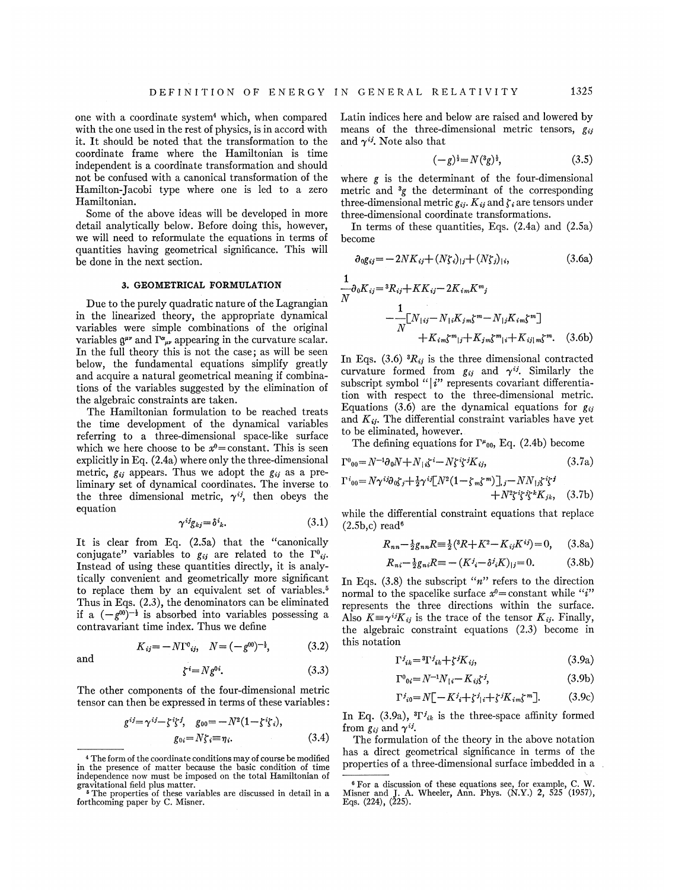one with a coordinate system4 which, when compared with the one used in the rest of physics, is in accord with it. It should be noted that the transformation to the coordinate frame where the Hamiltonian is time independent is a coordinate transformation and should not be confused with a canonical transformation of the Hamilton-Jacobi type where one is led to a zero Hamiltonian.

Some of the above ideas will be developed in more detail analytically below. Before doing this, however, we will need to reformulate the equations in terms of quantities having geometrical significance. This will be done in the next section.

## 3. GEOMETRICAL FORMULATION

Due to the purely quadratic nature of the Lagrangian in the linearized theory, the appropriate dynamical variables were simple combinations of the original variables  $\mathfrak{g}^{\mu\nu}$  and  $\Gamma^{\alpha\mu\nu}$  appearing in the curvature scalar. In the full theory this is not the case; as will be seen below, the fundamental equations simplify greatly and acquire a natural geometrical meaning if combinations of the variables suggested by the elimination of the algebraic constraints are taken.

The Hamiltonian formulation to be reached treats the time development of the dynamical variables referring to a three-dimensional space-like surface which we here choose to be  $x^0$ =constant. This is seen explicitly in Eq. (2.4a) where only the three-dimensional metric,  $g_{ij}$  appears. Thus we adopt the  $g_{ij}$  as a preliminary set of dynamical coordinates. The inverse to the three dimensional metric,  $\gamma^{ij}$ , then obeys the equation

$$
\gamma^{ij}g_{kj} = \delta^{i}{}_{k}.\tag{3.1}
$$

It is clear from Eq. (2.5a) that the "canonically conjugate" variables to  $g_{ij}$  are related to the  $\Gamma^0{}_{ij}$ . Instead of using these quantities directly, it is analytically convenient and geometrically more significant to replace them by an equivalent set of variables.<sup>5</sup> Thus in Eqs. (2.3), the denominators can be eliminated Thus in Eqs. (2.5), the denominators can be emminated<br>if a  $(-g^{00})^{-\frac{1}{2}}$  is absorbed into variables possessing a contravariant time index. Thus we define

and

$$
K_{ij} = -N\Gamma^0_{ij}, \quad N = (-g^{00})^{-\frac{1}{2}}, \quad (3.2)
$$

$$
\zeta^i = N g^{0i}.\tag{3.3}
$$

(3.2)

The other components of the four-dimensional metric tensor can then be expressed in terms of these variables:

$$
g^{ij} = \gamma^{ij} - \zeta^i \zeta^j, \quad g_{00} = -N^2(1 - \zeta^i \zeta_i),
$$

$$
g_{0i} = N\zeta_i \equiv \eta_i.
$$
 (3.4)

Latin indices here and below are raised and lowered by means of the three-dimensional metric tensors,  $g_{ij}$ and  $\gamma^{ij}$ . Note also that

$$
(-g)^{\frac{1}{2}} = N({}^3g)^{\frac{1}{2}}, \tag{3.5}
$$

where  $g$  is the determinant of the four-dimension metric and  $\frac{3}{5}$  the determinant of the corresponding three-dimensional metric  $g_{ij}$ .  $K_{ij}$  and  $\zeta_i$  are tensors under three-dimensional coordinate transformations.

In terms of these quantities, Eqs.  $(2.4a)$  and  $(2.5a)$ become

$$
\partial_0 g_{ij} = -2NK_{ij} + (N\zeta_i)_{|j} + (N\zeta_j)_{|i},\tag{3.6a}
$$

$$
\frac{1}{N}\partial_0 K_{ij} = {}^3R_{ij} + KK_{ij} - 2K_{im}K^m{}_j
$$
\n
$$
- \frac{1}{N} [N_{\{ij} - N_{\{i\}}K_{jm}\zeta^m - N_{\{j\}}K_{im}\zeta^m]} + K_{im}\zeta^m{}_{\{j\}} + K_{jm}\zeta^m{}_{\{k\}} + K_{ij\{m}\zeta^m}.\tag{3.6b}
$$

In Eqs. (3.6)  ${}^3R_{ij}$  is the three dimensional contracted curvature formed from  $g_{ij}$  and  $\gamma^{ij}$ . Similarly the subscript symbol " $|i"$  represents covariant differentiation with respect to the three-dimensional metric. Equations (3.6) are the dynamical equations for  $g_{ii}$ and  $K_{ij}$ . The differential constraint variables have yet to be eliminated, however.

The defining equations for  $\Gamma^{\mu}{}_{00}$ , Eq. (2.4b) become

$$
\Gamma^0{}_{00} = N^{-1} \partial_0 N + N_{\parallel i} \zeta^i - N \zeta^i \zeta^j K_{ij},\tag{3.7a}
$$

$$
\Gamma^{i}_{00} = N\gamma^{ij}\partial_{0}\zeta_{j} + \frac{1}{2}\gamma^{ij}[N^{2}(1-\zeta_{m}\zeta^{m})], j - NN_{1j}\zeta^{i}\zeta^{j} + N^{2}\zeta^{i}\zeta^{j}\zeta^{k}K_{jk}, \quad (3.7b)
$$

while the differential constraint equations that replace  $(2.5b, c)$  read<sup>6</sup>

$$
R_{nn} - \frac{1}{2}g_{nn}R \equiv \frac{1}{2}({}^{3}R + K^{2} - K_{ij}K^{ij}) = 0, \quad (3.8a)
$$

$$
R_{ni} - \frac{1}{2}g_{ni}R \equiv -(K^j - \delta^j_i K)_{|j} = 0.
$$
 (3.8b)

In Eqs.  $(3.8)$  the subscript "n" refers to the direction normal to the spacelike surface  $x^0$ = constant while "i" represents the three directions within the surface. represents the three directions within the surface<br>Also  $K = \gamma^{ij} K_{ij}$  is the trace of the tensor  $K_{ij}$ . Finally the algebraic constraint equations (2.3) become in this notation

$$
\Gamma^j_{ik} = {}^3\Gamma^j_{ik} + \zeta^j K_{ij},\tag{3.9a}
$$

$$
\Gamma^0_{\ 0i} = N^{-1} N_{\ |i} - K_{ij} \zeta^j,\tag{3.9b}
$$

$$
\Gamma^{j}_{i0} = N[-K^{j}_{i} + \zeta^{j}_{i} + \zeta^{j}K_{im}\zeta^{m}].
$$
 (3.9c)

In Eq. (3.9a),  ${}^{3}\Gamma^{j}{}_{ik}$  is the three-space affinity formed from  $g_{ij}$  and  $\gamma^{ij}$ .

The formulation of the theory in the above notation has a direct geometrical significance in terms of the properties of a three-dimensional surface imbedded in a

<sup>&</sup>lt;sup>4</sup> The form of the coordinate conditions may of course be modified in the presence of matter because the basic condition of time independence now must be imposed on the total Hamiltonian of

gravitational field plus matter. <sup>~</sup> The properties of these variables are discussed in detail in a forthcoming paper by C. Misner.

<sup>&</sup>lt;sup>8</sup> For a discussion of these equations see, for example, C. W. Misner and J. A. Wheeler, Ann. Phys. (N.Y.) 2, <sup>525</sup> (1957), Eqs. (224), (225).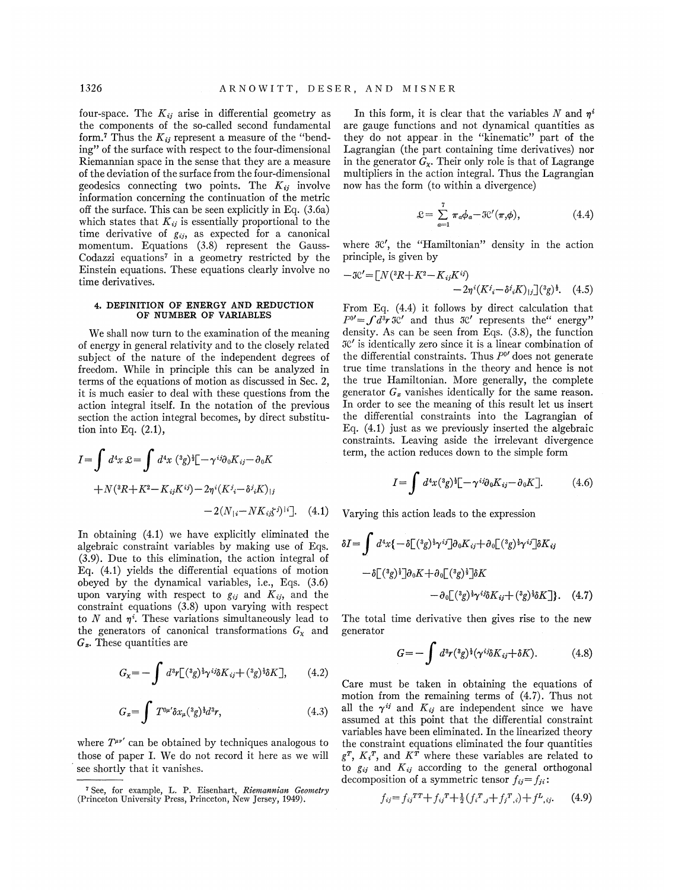four-space. The  $K_{ij}$  arise in differential geometry as the components of the so-called second fundamental form.<sup>7</sup> Thus the  $K_{ij}$  represent a measure of the "bending" of the surface with respect to the four-dimensional Riemannian space in the sense that they are a measure of the deviation of the surface from the four-dimensional geodesics connecting two points. The  $K_{ij}$  involve information concerning the continuation of the metric off the surface. This can be seen explicitly in Eq. (3.6a) which states that  $K_{ij}$  is essentially proportional to the time derivative of  $g_{ij}$ , as expected for a canonical momentum. Equations (3.8) represent the Gauss-Codazzi equations' in a geometry restricted by the Einstein equations. These equations clearly involve no time derivatives.

### 4. DEFINITION OF ENERGY AND REDUCTION OF NUMBER OF VARIABLES

We shall now turn to the examination of the meaning of energy in general relativity and to the closely related subject of the nature of the independent degrees of freedom. While in principle this can be analyzed in terms of the equations of motion as discussed in Sec. 2, it is much easier to deal with these questions from the action integral itself. In the notation of the previous section the action integral becomes, by direct substitution into Eq. (2.1),

$$
I = \int d^4x \ \mathcal{L} = \int d^4x \ (^3g)^{\frac{1}{2}} \left[ -\gamma^{ij} \partial_0 K_{ij} - \partial_0 K \right. \\
\left. + N(^3R + K^2 - K_{ij} K^{ij}) - 2\eta^{i} (K^{j}{}_i - \delta^{j}{}_i K)_{|j} \right. \\
\left. - 2(N_{|i} - NK_{ij} \zeta^{j})^{|i} \right]. \tag{4.1}
$$

In obtaining (4.1) we have explicitly eliminated the algebraic constraint variables by making use of Eqs. (3.9). Due to this elimination, the action integral of Eq. (4.1) yields the differential equations of motion obeyed by the dynamical variables, i.e. , Eqs. (3.6) upon varying with respect to  $g_{ij}$  and  $K_{ij}$ , and the constraint equations (3.8) upon varying with respect to  $N$  and  $\eta^i$ . These variations simultaneously lead to the generators of canonical transformations  $G_x$  and  $G<sub>x</sub>$ . These quantities are

$$
G_{\mathbf{x}} = -\int d^3r \left[ ({}^3g)^{\frac{1}{2}}\gamma^{ij}\delta K_{ij} + ({}^3g)^{\frac{1}{2}}\delta K \right],\qquad(4.2)
$$

$$
G_x = \int T^{0\mu'} \delta x_\mu (^3 g)^{\frac{1}{2}} d^3 r,\tag{4.3}
$$

where  $T^{\mu\nu'}$  can be obtained by techniques analogous to those of paper I. We do not record it here as we will see shortly that it vanishes.

In this form, it is clear that the variables N and  $n<sup>i</sup>$ are gauge functions and not dynamical quantities as they do not appear. in the "kinematic" part of the Lagrangian (the part containing time derivatives) nor in the generator  $G_x$ . Their only role is that of Lagrange multipliers in the action integral. Thus the Lagrangian now has the form (to within a divergence)

$$
\mathcal{L} = \sum_{a=1}^{7} \pi_a \phi_a - \mathcal{K}'(\pi, \phi), \tag{4.4}
$$

where  $\mathcal{R}'$ , the "Hamiltonian" density in the action principle, is given by

$$
-3C' = [N({}^{3}R + K^{2} - K_{ij}K^{ij}) -2\eta^{i}(K^{j} - \delta^{j}{}_{i}K)_{|j}]({}^{3}g)^{\frac{1}{2}}.
$$
 (4.5)

From Eq. (4.4) it follows by direct calculation that  $P^0' = \int d^3r \, \mathcal{H}'$  and thus  $\mathcal{H}'$  represents the" energy" density. As can be seen from Eqs. (3.8), the function 3C' is identically zero since it is a linear combination of the differential constraints. Thus  $P^{0'}$  does not generate true time translations in the theory and hence is not the true Hamiltonian. More generally, the complete generator  $G_x$  vanishes identically for the same reason. In order to see the meaning of this result let us insert the differential constraints into the Lagrangian of Eq. (4.1) just as we previously inserted the algebraic constraints. Leaving aside the irrelevant divergence term, the action reduces down to the simple form

$$
\delta^{j}{}_{i}K)_{|j} \qquad I = \int d^{4}x(^{3}g)^{1}[-\gamma^{ij}\partial_{0}K_{ij} - \partial_{0}K]. \qquad (4.6)
$$

Varying this action leads to the expression

$$
\delta I = \int d^4x \{ -\delta \left[ ({}^3g)^{\frac{1}{2}} \gamma^{ij} \right] \partial_0 K_{ij} + \partial_0 \left[ ({}^3g)^{\frac{1}{2}} \gamma^{ij} \right] \delta K_{ij}
$$

$$
- \delta \left[ ({}^3g)^{\frac{1}{2}} \right] \partial_0 K + \partial_0 \left[ ({}^3g)^{\frac{1}{2}} \right] \delta K
$$

$$
- \partial_0 \left[ ({}^3g)^{\frac{1}{2}} \gamma^{ij} \delta K_{ij} + ({}^3g)^{\frac{1}{2}} \delta K \right]. \quad (4.7)
$$

The total time derivative then gives rise to the new generator

$$
G = -\int d^3r ({}^3g)^{\frac{1}{2}} (\gamma^{ij}\delta K_{ij} + \delta K). \tag{4.8}
$$

Care must be taken in obtaining the equations of motion from the remaining terms of (4.7). Thus not all the  $\gamma^{ij}$  and  $K_{ij}$  are independent since we have assumed at this point that the differential constraint variables have been eliminated. In the linearized theory the constraint equations eliminated the four quantities  $g^{T}$ ,  $K_i^{T}$ , and  $K^{\hat{T}}$  where these variables are related to to  $g_{ij}$  and  $K_{ij}$  according to the general orthogonal decomposition of a symmetric tensor  $f_{ij} = f_{ji}$ :

$$
f_{ij} = f_{ij}^{TT} + f_{ij}^{T} + \frac{1}{2} (f_i^{T}, j + f_j^{T}, i) + f^{L}, i, \qquad (4.9)
$$

<sup>&</sup>lt;sup>7</sup> See, for example, L. P. Eisenhart, *Riemannian Geometr* (Princeton University Press, Princeton, New Jersey, 1949).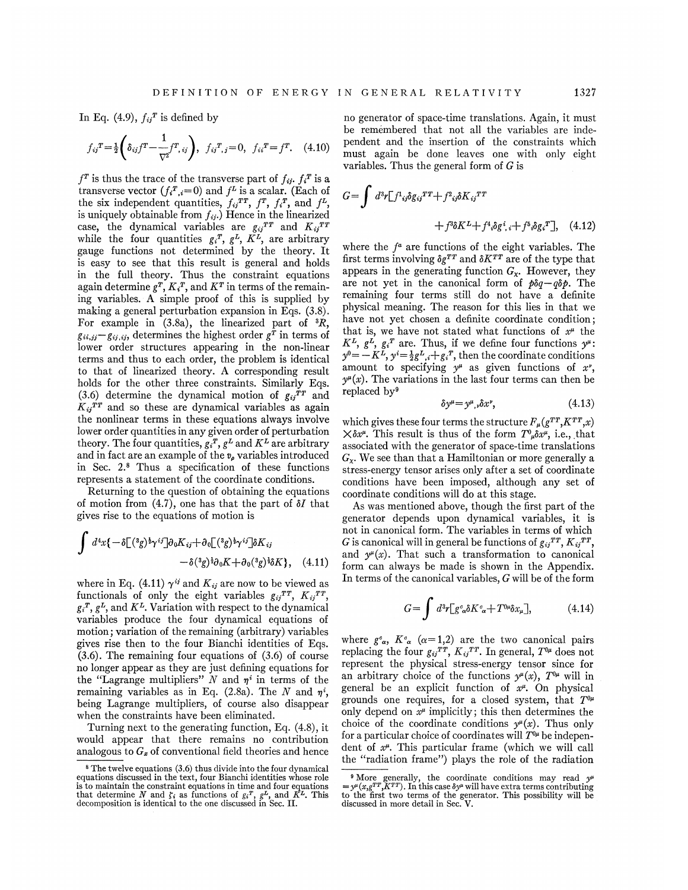1327

In Eq. (4.9),  $f_{ij}$ <sup>r</sup> is defined by

$$
f_{ij}^T = \frac{1}{2} \left( \delta_{ij} f^T - \frac{1}{\nabla^2} f^T, i_j \right), \ f_{ij}^T, j = 0, \ f_{ii}^T = f^T. \tag{4.10}
$$

 $f^T$  is thus the trace of the transverse part of  $f_{ij}$ .  $f_i^T$  is a transverse vector  $(f_i^T, i=0)$  and  $f^L$  is a scalar. (Each of the six independent quantities,  $f_{ij}^{TT}$ ,  $f^{T}$ ,  $f_{i}^{T}$ , and  $f^{L}$ , is uniquely obtainable from  $f_{ij}$ .) Hence in the linearize case, the dynamical variables are  $g_{ij}^{TT}$  and  $K_{ij}^{TT}$ <br>while the four quantities  $g_i^T$ ,  $g^L$ ,  $K^L$ , are arbitrary gauge functions not determined by the theory. It is easy to see that this result is general and holds in the full theory. Thus the constraint equations again determine  $g^T, K_i^T$ , and  $K^T$  in terms of the remaining variables. A simple proof of this is supplied by making a general perturbation expansion in Eqs. (3.8). For example in  $(3.8a)$ , the linearized part of  ${}^{3}R$ ,  $g_{ii,ij} - g_{ii,ij}$ , determines the highest order  $g<sup>T</sup>$  in terms of lower order structures appearing in the non-linear terms and thus to each order, the problem is identical to that of linearized theory. A corresponding result holds for the other three constraints. Similarly Eqs. (3.6) determine the dynamical motion of  $g_{ij}^{TT}$  and  $K_{ij}^{TT}$  and so these are dynamical variables as again the nonlinear terms in these equations always involve lower order quantities in any given order of perturbation theory. The four quantities,  $g_i^T$ ,  $g^L$  and  $K^L$  are arbitrary and in fact are an example of the  $v_{\rho}$  variables introduce in Sec.  $2.\text{8}$  Thus a specification of these functions represents a statement of the coordinate conditions.

Returning to the question of obtaining the equations of motion from (4.7), one has that the part of  $\delta I$  that gives rise to the equations of motion is

$$
\int d^4x \{-\delta \left[({}^3g)^{\frac{1}{2}}\gamma^{ij}\right]\partial_0 K_{ij} + \partial_0 \left[({}^3g)^{\frac{1}{2}}\gamma^{ij}\right]\delta K_{ij} - \delta({}^3g)^{\frac{1}{2}}\partial_0 K + \partial_0({}^3g)^{\frac{1}{2}}\delta K\}, \quad (4.11)
$$

where in Eq. (4.11)  $\gamma^{ij}$  and  $K_{ij}$  are now to be viewed as functionals of only the eight variables  $g_{ij}^{TT}$ ,  $K_{ij}^{TT}$ ;  $g_i^T$ ,  $g^L$ , and  $K^L$ . Variation with respect to the dynamical variables produce the four dynamical equations of motion; variation of the remaining (arbitrary) variables gives rise then to the four Bianchi identities of Kqs. (3.6). The remaining four equations of (3.6) of course no longer appear as they are just defining equations for the "Lagrange multipliers" N and  $\eta^i$  in terms of the remaining variables as in Eq. (2.8a). The N and  $\eta^{i}$ , being Lagrange multipliers, of course also disappear when the constraints have been eliminated.

Turning next to the generating function, Eq. (4.8), it would appear that there remains no contribution analogous to  $G_x$  of conventional field theories and hence

no generator of space-time translations. Again, it must be remembered that not all the variables are independent and the insertion of the constraints which must again be done leaves one with only eight variables. Thus the general form of G is

$$
G = \int d^3r \left[ f^1{}_{ij}\delta g_{ij}{}^{TT} + f^2{}_{ij}\delta K_{ij}{}^{TT} + f^3 \delta K^L + f^4 \delta g^i{}_{,i} + f^5 \delta g_i{}^{T} \right], \quad (4.12)
$$

where the  $f^a$  are functions of the eight variables. The first terms involving  $\delta g^{TT}$  and  $\delta K^{TT}$  are of the type that appears in the generating function  $G_{x}$ . However, they are not yet in the canonical form of  $p\delta q - q\delta p$ . The remaining four terms still do not have a definite physical meaning. The reason for this lies in that we have not yet chosen a definite coordinate condition; that is, we have not stated what functions of  $x^{\mu}$  the  $K^L$ ,  $g^L$ ,  $g_i^T$  are. Thus, if we define four functions  $y^{\mu}$ :  $y^0 = -K^2$ ,  $y'=\frac{1}{2}g^L$ ,  $+\frac{1}{2}g^T$ , then the coordinate conditions amount to specifying  $y^{\mu}$  as given functions of x',  $v^{\mu}(x)$ . The variations in the last four terms can then be replaced by'

$$
\delta y^{\mu} = y^{\mu}, \delta x^{\nu}, \qquad (4.13)
$$

which gives these four terms the structure  $F_{\mu}(g^{TT}, K^{TT}, x)$  $\times \delta x^{\mu}$ . This result is thus of the form  $T^0\mu \delta x^{\mu}$ , i.e., that associated with the generator of space-time translations  $G_{\chi}$ . We see than that a Hamiltonian or more generally a stress-energy tensor arises only after a set of coordinate conditions have been imposed, although any set of coordinate conditions will do at this stage.

As was mentioned above, though the first part of the generator depends upon dynamical variables, it is not in canonical form. The variables in terms of which G is canonical will in general be functions of  $g_{ij}^{TT}$ ,  $K_{ij}^{TT}$ , and  $y^{\mu}(x)$ . That such a transformation to canonical form can always be made is shown in the Appendix. In terms of the canonical variables, G will be of the form

$$
G = \int d^3r \left[ g^c_{\alpha} \delta K^c_{\alpha} + T^{0\mu} \delta x_{\mu} \right], \tag{4.14}
$$

where  $g^c_{\alpha}$ ,  $K^c_{\alpha}$  ( $\alpha=1,2$ ) are the two canonical pairs replacing the four  $g_{ij}^{TT}$ ,  $K_{ij}^{TT}$ . In general,  $T^{0\mu}$  does not represent the physical stress-energy tensor since for an arbitrary choice of the functions  $y^{\mu}(x)$ ,  $T^{0\mu}$  will in general be an explicit function of  $x^{\mu}$ . On physical grounds one requires, for a closed system, that  $T^{0\mu}$ only depend on  $x^{\mu}$  implicitly; this then determines the choice of the coordinate conditions  $y^{\mu}(x)$ . Thus only for a particular choice of coordinates will  $T^{0\mu}$  be independent of  $x^{\mu}$ . This particular frame (which we will call the "radiation frame") plays the role of the radiation

The twelve equations (3.6) thus divide into the four dynamical equations discussed in the text, four Bianchi identities whose role is to maintain the constraint equations in time and four equations that determine N and  $\zeta_i$  as functions of  $g_i^T$ ,  $g^L$ , and  $K^L$ . This decomposition is identical to the one discussed in Sec. II.

<sup>&</sup>lt;sup>9</sup> More generally, the coordinate conditions may read  $y^{\mu}$   $\equiv y^{\mu}(x,g^{TT}, K^{TT})$ . In this case  $\delta y^{\mu}$  will have extra terms contributing to the first two terms of the generator. This possibility will be discussed in more detail in Sec. V.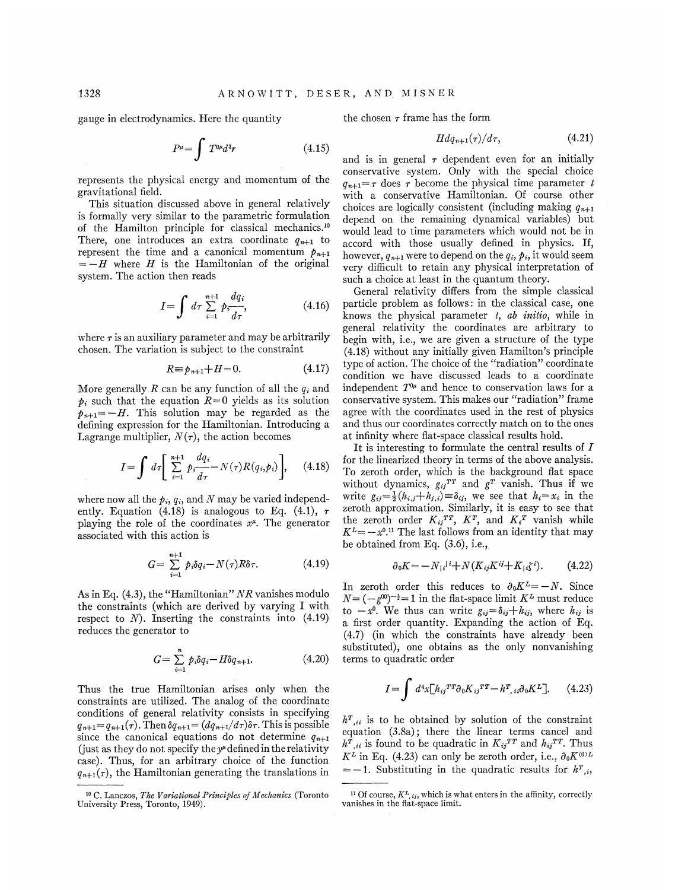gauge in electrodynamics. Here the quantity

$$
P^{\mu} = \int T^{0\mu} d^3r \tag{4.15}
$$

represents the physical energy and momentum of the gravitational field.

This situation discussed above in general relatively is formally very similar to the parametric formulation of the Hamilton principle for classical mechanics.<sup>10</sup> There, one introduces an extra coordinate  $q_{n+1}$  to represent the time and a canonical momentum  $p_{n+1}$  $=-H$  where H is the Hamiltonian of the original system. The action then reads

$$
I = \int d\tau \sum_{i=1}^{n+1} p_i \frac{dq_i}{d\tau},
$$
 (4.16)

where  $\tau$  is an auxiliary parameter and may be arbitrarily chosen. The variation is subject to the constraint

$$
R \equiv p_{n+1} + H = 0. \tag{4.17}
$$

More generally R can be any function of all the  $q_i$  and  $p_i$  such that the equation  $R=0$  yields as its solution  $p_{n+1} = -H$ . This solution may be regarded as the defining expression for the Hamiltonian. Introducing a Lagrange multiplier,  $N(\tau)$ , the action becomes

$$
I = \int d\tau \left[ \sum_{i=1}^{n+1} p_i \frac{dq_i}{d\tau} - N(\tau)R(q_i, p_i) \right], \quad (4.18)
$$

where now all the  $p_i$ ,  $q_i$ , and N may be varied independently. Equation (4.18) is analogous to Eq. (4.1),  $\tau$ playing the role of the coordinates  $x^{\mu}$ . The generator associated with this action is

$$
G = \sum_{i=1}^{n+1} p_i \delta q_i - N(\tau) R \delta \tau.
$$
 (4.19) 
$$
\partial_0 K = -N_{|i|}{}^{i+1} + N(K_{ij} K^{ij} + K_{|i} \xi^i).
$$
 (4.22)

As in Eq. (4.3), the "Hamiltonian" NR vanishes modulo the constraints (which are derived by varying I with respect to  $N$ ). Inserting the constraints into  $(4.19)$ reduces the generator to

$$
G = \sum_{i=1}^{n} p_i \delta q_i - H \delta q_{n+1}.
$$
 (4.20)

Thus the true Hamiltonian arises only when the constraints are utilized. The analog of the coordinate conditions of general relativity consists in specifying  $q_{n+1} = q_{n+1}(\tau)$ . Then  $\delta q_{n+1} = (dq_{n+1}/d\tau)\delta\tau$ . This is possible since the canonical equations do not determine  $q_{n+1}$ (just as they do not specify the  $y^{\mu}$  defined in the relativity case). Thus, for an arbitrary choice of the function  $q_{n+1}(\tau)$ , the Hamiltonian generating the translations in

the chosen  $\tau$  frame has the form

$$
Hdq_{n+1}(\tau)/d\tau, \qquad (4.21)
$$

and is in general  $\tau$  dependent even for an initially conservative system. Only with the special choice  $q_{n+1} = \tau$  does  $\tau$  become the physical time parameter t with a conservative Hamiltonian. Of course other choices are logically consistent (including making  $q_{n+1}$ ) depend on the remaining dynamical variables) but would lead to time parameters which would not be in accord with those usually defined in physics. If, however,  $q_{n+1}$  were to depend on the  $q_i,\not\!{p_i},$  it would seem very dificult to retain any physical interpretation of such a choice at least in the quantum theory.

General relativity differs from the simple classical particle problem as follows: in the classical case, one knows the physical parameter  $t$ ,  $ab$  *initio*, while in general relativity the coordinates are arbitrary to begin with, i.e., we are given a structure of the type (4.18) without any initially given Hamilton's principle type of action. The choice of the "radiation" coordinate condition we have discussed leads to a coordinate independent  $T^{0\mu}$  and hence to conservation laws for a conservative system. This makes our "radiation" frame agree with the coordinates used in the rest of physics and thus our coordinates correctly match on to the ones at infinity where flat-space classical results hold.

It is interesting to formulate the central results of I for the linearized theory in terms of the above analysis. To zeroth order, which is the background flat space without dynamics,  $g_{ii}^{TT}$  and  $g^{T}$  vanish. Thus if we write  $g_{ij} = \frac{1}{2}(h_{i,j} + h_{j,i}) \equiv \delta_{ij}$ , we see that  $h_i = x_i$  in the zeroth approximation. Similarly, it is easy to see that the zeroth order  $K_{ij}^{TT}$ ,  $K^{T}$ , and  $K_{i}^{T}$  vanish while  $K^{L} = -x^{0.11}$  The last follows from an identity that may be obtained from Eq. (3.6), i.e.,

$$
\partial_0 K = -N_{|i|}^{i} + N(K_{ij} K^{ij} + K_{|i} \xi^i). \tag{4.22}
$$

In zeroth order this reduces to  $\partial_0 K^L = -N$ . Since  $N = (-g^{00})^{-\frac{1}{2}} = 1$  in the flat-space limit  $K^L$  must reduce to  $-x^0$ . We thus can write  $g_{ij} = \delta_{ij} + h_{ij}$ , where  $h_{ij}$  is a first order quantity. Expanding the action of Eq. (4.7) (in which the constraints have already been substituted), one obtains as the only nonvanishing terms to quadratic order

$$
I = \int d^4x \left[ h_{ij}{}^{TT} \partial_0 K_{ij}{}^{TT} - h_{i}{}^{T}{}_{ii} \partial_0 K^L \right]. \tag{4.23}
$$

 $h^{T}{}_{ii}$  is to be obtained by solution of the constraint equation (3.8a); there the linear terms cancel and  $h^{\dot{T}}_{i}$ , is found to be quadratic in  $K_{ij}{}^{TT}$  and  $h_{ij}{}^{TT}$ . Thus  $K^L$  in Eq. (4.23) can only be zeroth order, i.e.,  $\partial_0 K^{(0)L}$  $=-1$ . Substituting in the quadratic results for  $h^{T}$ , i,

<sup>&</sup>lt;sup>10</sup> C. Lanczos, The Variational Principles of Mechanics (Toronto University Press, Toronto, 1949}.

<sup>&</sup>lt;sup>11</sup> Of course,  $K^L$ , *i*, which is what enters in the affinity, correctly vanishes in the flat-space limit.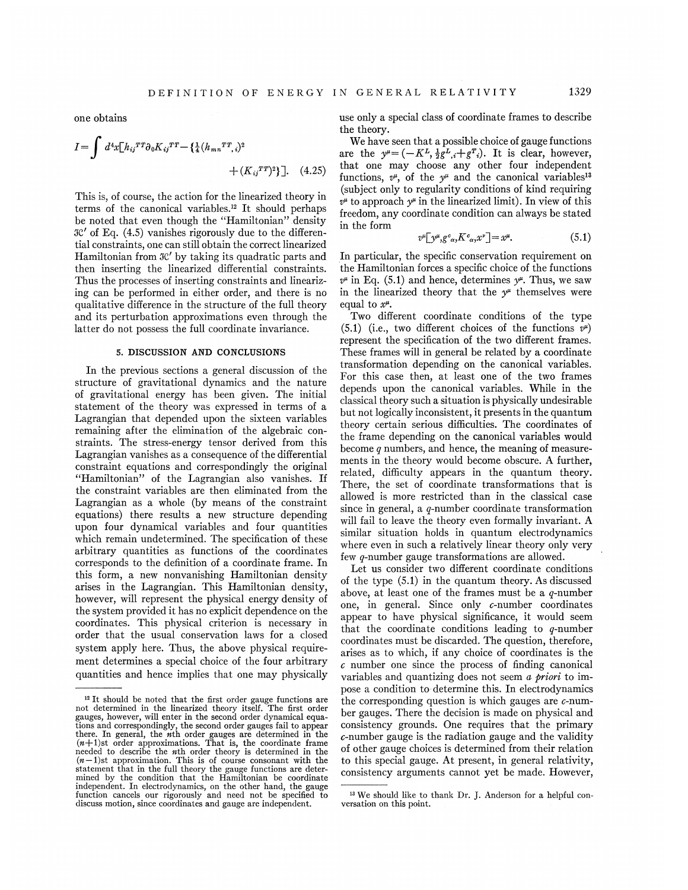$$
I = \int d^4x [h_{ij}^{TT} \partial_0 K_{ij}^{TT} - {\{\frac{1}{4}(h_{mn}^{TT}, i)^2\}} + (K_{ij}^{TT})^2}].
$$
 (4.25)

This is, of course, the action for the linearized theory in This is, of course, the action for the linearized theory if terms of the canonical variables.<sup>12</sup> It should perhap be noted that even though the "Hamiltonian". density  $\mathcal{K}'$  of Eq. (4.5) vanishes rigorously due to the differential constraints, one can still obtain the correct linearized Hamiltonian from  $\mathcal{R}'$  by taking its quadratic parts and then inserting the linearized differential constraints. Thus the processes of inserting constraints and linearizing can be performed in either order, and there is no qualitative difference in the structure of the full theory and its perturbation approximations even through the latter do not possess the full coordinate invariance.

# 5. DISCUSSION AND CONCLUSIONS

In the previous sections a general discussion of the structure of gravitational dynamics and the nature of gravitational energy has been given. The initial statement of the theory was expressed in terms of a Lagrangian that depended upon the sixteen variables remaining after the elimination of the algebraic constraints. The stress-energy tensor derived from this Lagrangian vanishes as a consequence of the differential constraint equations and correspondingly the original "Hamiltonian" of the Lagrangian also vanishes. If the constraint variables are then eliminated from the Lagrangian as a whole (by means of the constraint equations) there results a new structure depending upon four dynamical variables and four quantities which remain undetermined. The specification of these arbitrary quantities as functions of the coordinates corresponds to the definition of a coordinate frame. In this form, a new nonvanishing Hamiltonian density arises in the Lagrangian. This Hamiltonian density, however, will represent the physical energy density of the system provided it has no explicit dependence on the coordinates. This physical criterion is necessary in order that the usual conservation laws for a closed system apply here. Thus, the above physical requirement determines a special choice of the four arbitrary quantities and hence implies that one may physically

use only a special class of coordinate frames to describe the theory.

We have seen that a possible choice of gauge functions are the  $y^{\mu} = (-K^L, \frac{1}{2}g^L, +g^T)$ . It is clear, however, that one may choose any other four independent functions,  $v^{\mu}$ , of the  $y^{\mu}$  and the canonical variables<sup>13</sup> (subject only to regularity conditions of kind requiring  $v^{\mu}$  to approach  $y^{\mu}$  in the linearized limit). In view of this freedom, any coordinate condition can always be stated in the form

$$
v^{\mu} \big[ y^{\mu}, g^c_{\alpha}, K^c_{\alpha}, x^{\nu} \big] = x^{\mu}.
$$
 (5.1)

In particular, the specific conservation requirement on the Hamiltonian forces a specific choice of the functions  $v^{\mu}$  in Eq. (5.1) and hence, determines  $v^{\mu}$ . Thus, we saw in the linearized theory that the  $y^{\mu}$  themselves were equal to  $x^{\mu}$ .

Two different coordinate conditions of the type (5.1) (i.e., two different choices of the functions  $v^{\mu}$ ) represent the specification of the two diferent frames. These frames will in general be related by a coordinate transformation depending on the canonical variables. For this case then, at least one of the two frames depends upon the canonical variables. While in the classical theory such a situation is physically undesirable but not logically inconsistent, it presents in the quantum theory certain serious difficulties. The coordinates of the frame depending on the canonical variables would become  $q$  numbers, and hence, the meaning of measure ments in the theory would become obscure. A further, related, difhculty appears in the quantum theory. There, the set of coordinate transformations that is allowed is more restricted than in the classical case since in general, a q-number coordinate transformation will fail to leave the theory even formally invariant. A similar situation holds in quantum electrodynamics where even in such a relatively linear theory only very few q-number gauge transformations are allowed.

Let us consider two diferent coordinate conditions of the type (5.1) in the quantum theory. As discussed above, at least one of the frames must be a  $q$ -number one, in general. Since only c-number coordinates appear to have physical significance, it would seem that the coordinate conditions leading to  $q$ -number coordinates must be discarded. The question, therefore, arises as to which, if any choice of coordinates is the c number one since the process of finding canonical variables and quantizing does not seem  $\alpha$  priori to impose a condition to determine this. In electrodynamics the corresponding question is which gauges are  $c$ -number gauges. There the decision is made on physical and consistency grounds. One requires that the primary c-number gauge is the radiation gauge and the validity of other gauge choices is determined from their relation to this special gauge. At present, in general relativity, consistency arguments cannot yet be made. However,

<sup>&</sup>lt;sup>12</sup> It should be noted that the first order gauge functions are not determined in the linearized theory itself. The first order<br>gauges, however, will enter in the second order dynamical equations and correspondingly, the second order gauges fail to appear<br>there. In general, the *n*th order gauges are determined in the<br> $(n+1)$ st order approximations. That is, the coordinate frame-<br>needed to describe the *n*th needuct to describe the number theory is determined in the<br>(*n* - 1)st approximation. This is of course consonant with the<br>statement that in the full theory the gauge functions are determined by the condition that the Hamiltonian be coordinate independent. In electrodynamics, on the other hand, the gauge<br>function cancels our rigorously and need not be specified to discuss motion, since coordinates and gauge are independent.

<sup>&</sup>lt;sup>13</sup> We should like to thank Dr. J. Anderson for a helpful conversation on this point.